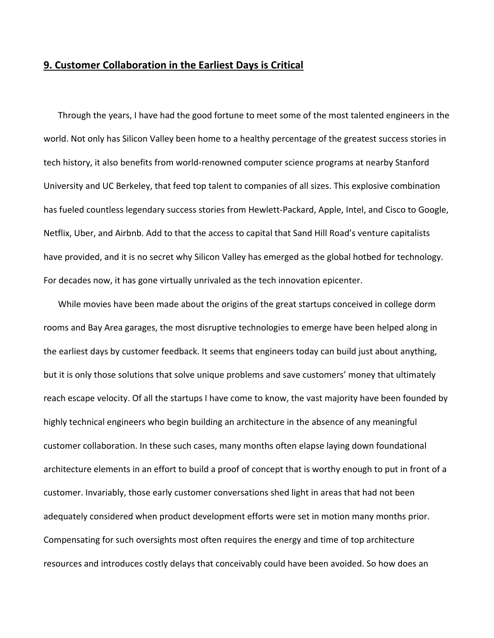## **9. Customer Collaboration in the Earliest Days is Critical**

Through the years, I have had the good fortune to meet some of the most talented engineers in the world. Not only has Silicon Valley been home to a healthy percentage of the greatest success stories in tech history, it also benefits from world‐renowned computer science programs at nearby Stanford University and UC Berkeley, that feed top talent to companies of all sizes. This explosive combination has fueled countless legendary success stories from Hewlett‐Packard, Apple, Intel, and Cisco to Google, Netflix, Uber, and Airbnb. Add to that the access to capital that Sand Hill Road's venture capitalists have provided, and it is no secret why Silicon Valley has emerged as the global hotbed for technology. For decades now, it has gone virtually unrivaled as the tech innovation epicenter.

While movies have been made about the origins of the great startups conceived in college dorm rooms and Bay Area garages, the most disruptive technologies to emerge have been helped along in the earliest days by customer feedback. It seems that engineers today can build just about anything, but it is only those solutions that solve unique problems and save customers' money that ultimately reach escape velocity. Of all the startups I have come to know, the vast majority have been founded by highly technical engineers who begin building an architecture in the absence of any meaningful customer collaboration. In these such cases, many months often elapse laying down foundational architecture elements in an effort to build a proof of concept that is worthy enough to put in front of a customer. Invariably, those early customer conversations shed light in areas that had not been adequately considered when product development efforts were set in motion many months prior. Compensating for such oversights most often requires the energy and time of top architecture resources and introduces costly delays that conceivably could have been avoided. So how does an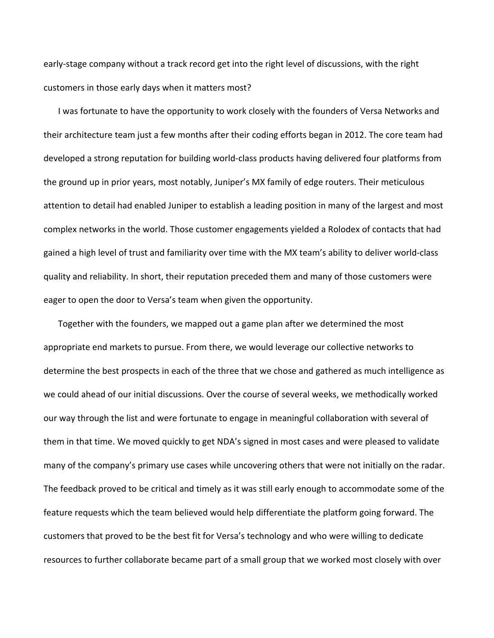early‐stage company without a track record get into the right level of discussions, with the right customers in those early days when it matters most?

I was fortunate to have the opportunity to work closely with the founders of Versa Networks and their architecture team just a few months after their coding efforts began in 2012. The core team had developed a strong reputation for building world‐class products having delivered four platforms from the ground up in prior years, most notably, Juniper's MX family of edge routers. Their meticulous attention to detail had enabled Juniper to establish a leading position in many of the largest and most complex networks in the world. Those customer engagements yielded a Rolodex of contacts that had gained a high level of trust and familiarity over time with the MX team's ability to deliver world‐class quality and reliability. In short, their reputation preceded them and many of those customers were eager to open the door to Versa's team when given the opportunity.

Together with the founders, we mapped out a game plan after we determined the most appropriate end markets to pursue. From there, we would leverage our collective networks to determine the best prospects in each of the three that we chose and gathered as much intelligence as we could ahead of our initial discussions. Over the course of several weeks, we methodically worked our way through the list and were fortunate to engage in meaningful collaboration with several of them in that time. We moved quickly to get NDA's signed in most cases and were pleased to validate many of the company's primary use cases while uncovering others that were not initially on the radar. The feedback proved to be critical and timely as it was still early enough to accommodate some of the feature requests which the team believed would help differentiate the platform going forward. The customers that proved to be the best fit for Versa's technology and who were willing to dedicate resources to further collaborate became part of a small group that we worked most closely with over